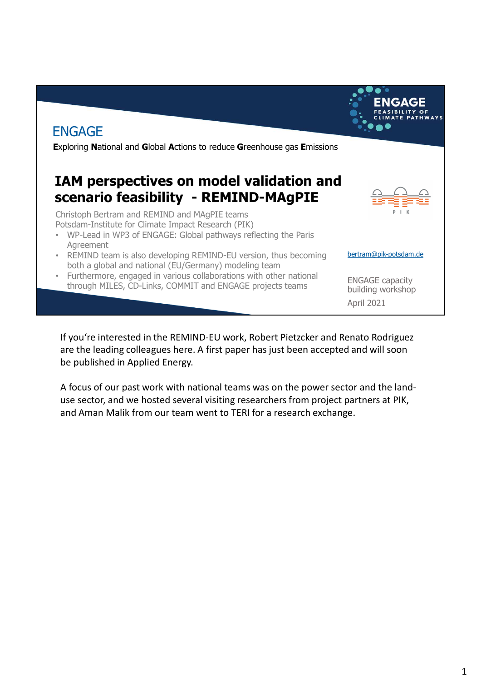

If you're interested in the REMIND-EU work, Robert Pietzcker and Renato Rodriguez are the leading colleagues here. A first paper has just been accepted and will soon be published in Applied Energy.

A focus of our past work with national teams was on the power sector and the landuse sector, and we hosted several visiting researchers from project partners at PIK, and Aman Malik from our team went to TERI for a research exchange.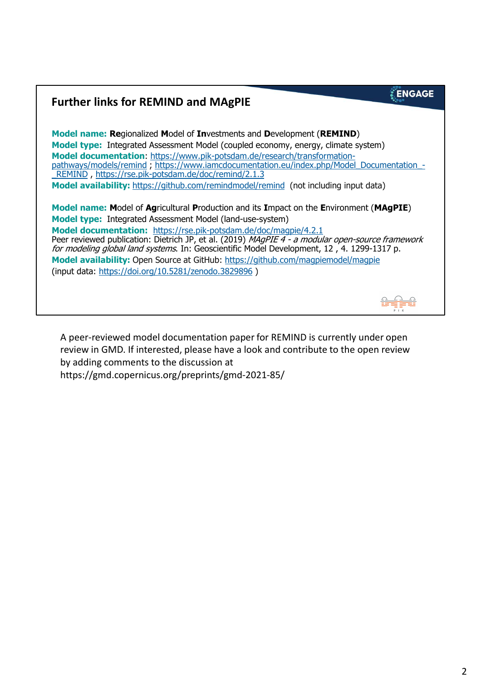#### **ENGAGE Further links for REMIND and MAgPIE Model name: Re**gionalized **M**odel of **In**vestments and **D**evelopment (**REMIND**) **Model type:** Integrated Assessment Model (coupled economy, energy, climate system) **Model documentation**: https://www.pik-potsdam.de/research/transformationpathways/models/remind ; https://www.iamcdocumentation.eu/index.php/Model\_Documentation\_-\_REMIND , https://rse.pik-potsdam.de/doc/remind/2.1.3 **Model availability:** https://github.com/remindmodel/remind (not including input data) **Model name: M**odel of **Ag**ricultural **P**roduction and its **I**mpact on the **E**nvironment (**MAgPIE**) **Model type:** Integrated Assessment Model (land-use-system) **Model documentation:** https://rse.pik-potsdam.de/doc/magpie/4.2.1 Peer reviewed publication: Dietrich JP, et al. (2019) MAgPIE 4 - a modular open-source framework for modeling global land systems. In: Geoscientific Model Development, 12, 4. 1299-1317 p. **Model availability:** Open Source at GitHub: https://github.com/magpiemodel/magpie (input data: https://doi.org/10.5281/zenodo.3829896 )

A peer-reviewed model documentation paper for REMIND is currently under open review in GMD. If interested, please have a look and contribute to the open review by adding comments to the discussion at https://gmd.copernicus.org/preprints/gmd-2021-85/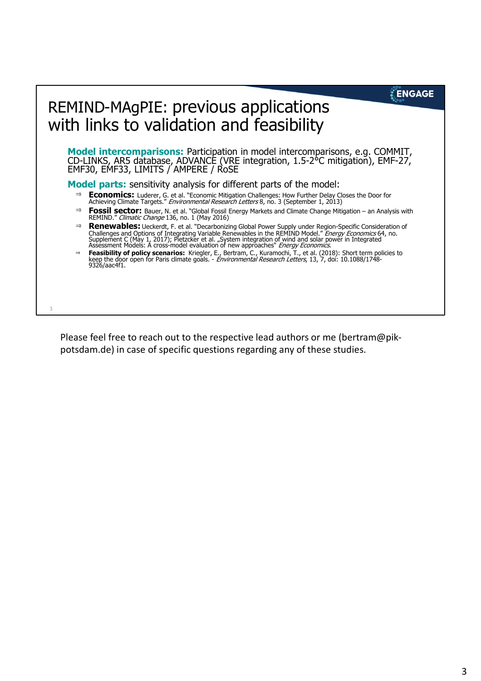### **ENGAGE**

# REMIND-MAgPIE: previous applications with links to validation and feasibility

3

**Model intercomparisons:** Participation in model intercomparisons, e.g. COMMIT, CD-LINKS, AR5 database, ADVANCE (VRE integration, 1.5-2°C mitigation), EMF-27, EMF30, EMF33, LIMITS / AMPERE / RoSE

**Model parts:** sensitivity analysis for different parts of the model:

- **Economics:** Luderer, G. et al. "Economic Mitigation Challenges: How Further Delay Closes the Door for Achieving Climate Targets." Environmental Research Letters 8, no. 3 (September 1, 2013)
- $\Rightarrow$ **Fossil sector:** Bauer, N. et al. "Global Fossil Energy Markets and Climate Change Mitigation – an Analysis with REMIND." Climatic Change 136, no. 1 (May 2016)
- **Renewables:** Ueckerdt, F. et al. "Decarbonizing Global Power Supply under Region-Specific Consideration of Challenges and Options of Integrating Variable Renewables in the REMIND Model." *Energy Economics* 64, no.<br>Supplement C (May 1, 2017); Pietzcker et al. "System integration of wind and solar power in Integrated<br>Assessment M
- **Feasibility of policy scenarios:** Kriegler, E., Bertram, C., Kuramochi, T., et al. (2018): Short term policies to keep the door open for Paris climate goals. Environmental Research Letters, 13, 7, doi: 10.1088/1748- 9326/aac4f1.

Please feel free to reach out to the respective lead authors or me (bertram@pikpotsdam.de) in case of specific questions regarding any of these studies.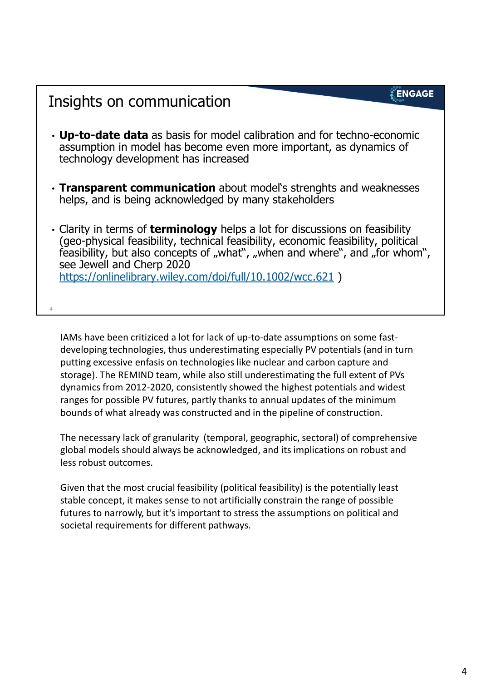### **ENGAGE**

## Insights on communication

4

- **Up-to-date data** as basis for model calibration and for techno-economic assumption in model has become even more important, as dynamics of technology development has increased
- **Transparent communication** about model's strenghts and weaknesses helps, and is being acknowledged by many stakeholders
- Clarity in terms of **terminology** helps a lot for discussions on feasibility (geo-physical feasibility, technical feasibility, economic feasibility, political feasibility, but also concepts of "what", "when and where", and "for whom", see Jewell and Cherp 2020 https://onlinelibrary.wiley.com/doi/full/10.1002/wcc.621 )

IAMs have been critiziced a lot for lack of up-to-date assumptions on some fastdeveloping technologies, thus underestimating especially PV potentials (and in turn putting excessive enfasis on technologies like nuclear and carbon capture and storage). The REMIND team, while also still underestimating the full extent of PVs dynamics from 2012-2020, consistently showed the highest potentials and widest ranges for possible PV futures, partly thanks to annual updates of the minimum bounds of what already was constructed and in the pipeline of construction.

The necessary lack of granularity (temporal, geographic, sectoral) of comprehensive global models should always be acknowledged, and its implications on robust and less robust outcomes.

Given that the most crucial feasibility (political feasibility) is the potentially least stable concept, it makes sense to not artificially constrain the range of possible futures to narrowly, but it's important to stress the assumptions on political and societal requirements for different pathways.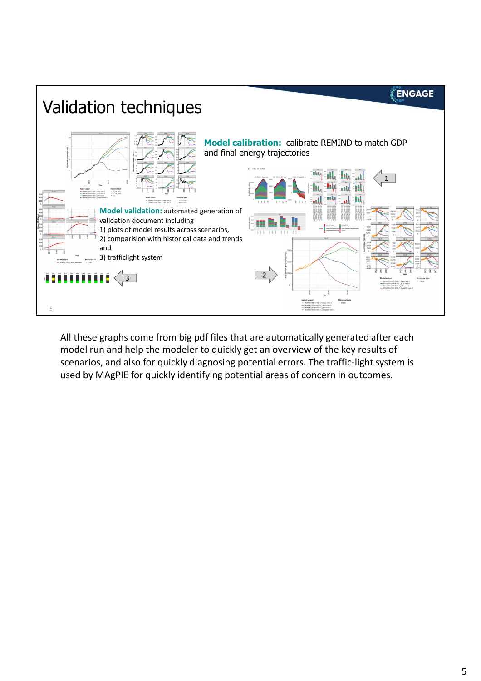

All these graphs come from big pdf files that are automatically generated after each model run and help the modeler to quickly get an overview of the key results of scenarios, and also for quickly diagnosing potential errors. The traffic-light system is used by MAgPIE for quickly identifying potential areas of concern in outcomes.